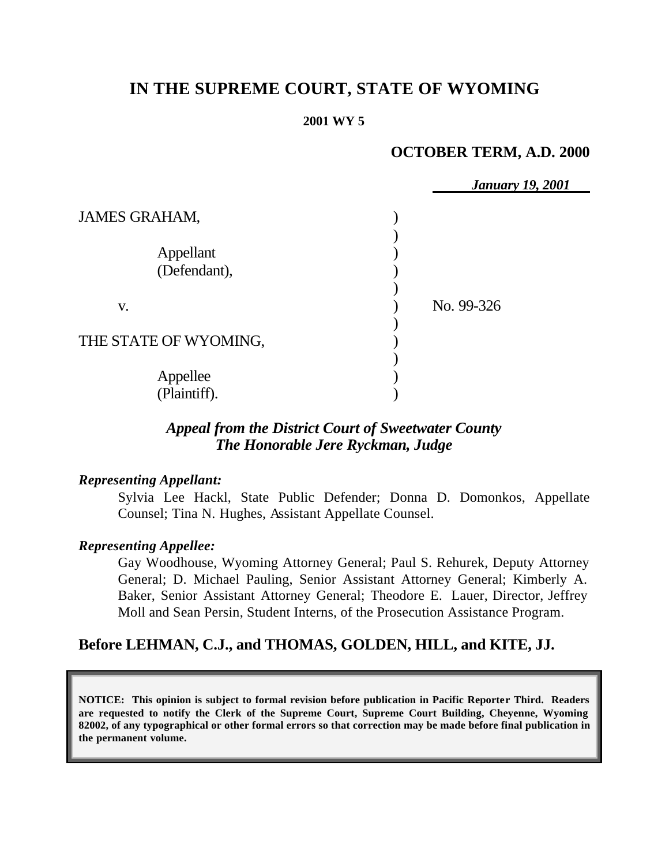# **IN THE SUPREME COURT, STATE OF WYOMING**

#### **2001 WY 5**

## **OCTOBER TERM, A.D. 2000**

*January 19, 2001*

|                       | January 19, |
|-----------------------|-------------|
| <b>JAMES GRAHAM,</b>  |             |
|                       |             |
| Appellant             |             |
| (Defendant),          |             |
|                       |             |
| V.                    | No. 99-326  |
| THE STATE OF WYOMING, |             |
|                       |             |
| Appellee              |             |
| (Plaintiff).          |             |

## *Appeal from the District Court of Sweetwater County The Honorable Jere Ryckman, Judge*

#### *Representing Appellant:*

Sylvia Lee Hackl, State Public Defender; Donna D. Domonkos, Appellate Counsel; Tina N. Hughes, Assistant Appellate Counsel.

#### *Representing Appellee:*

Gay Woodhouse, Wyoming Attorney General; Paul S. Rehurek, Deputy Attorney General; D. Michael Pauling, Senior Assistant Attorney General; Kimberly A. Baker, Senior Assistant Attorney General; Theodore E. Lauer, Director, Jeffrey Moll and Sean Persin, Student Interns, of the Prosecution Assistance Program.

## **Before LEHMAN, C.J., and THOMAS, GOLDEN, HILL, and KITE, JJ.**

**NOTICE: This opinion is subject to formal revision before publication in Pacific Reporter Third. Readers are requested to notify the Clerk of the Supreme Court, Supreme Court Building, Cheyenne, Wyoming 82002, of any typographical or other formal errors so that correction may be made before final publication in the permanent volume.**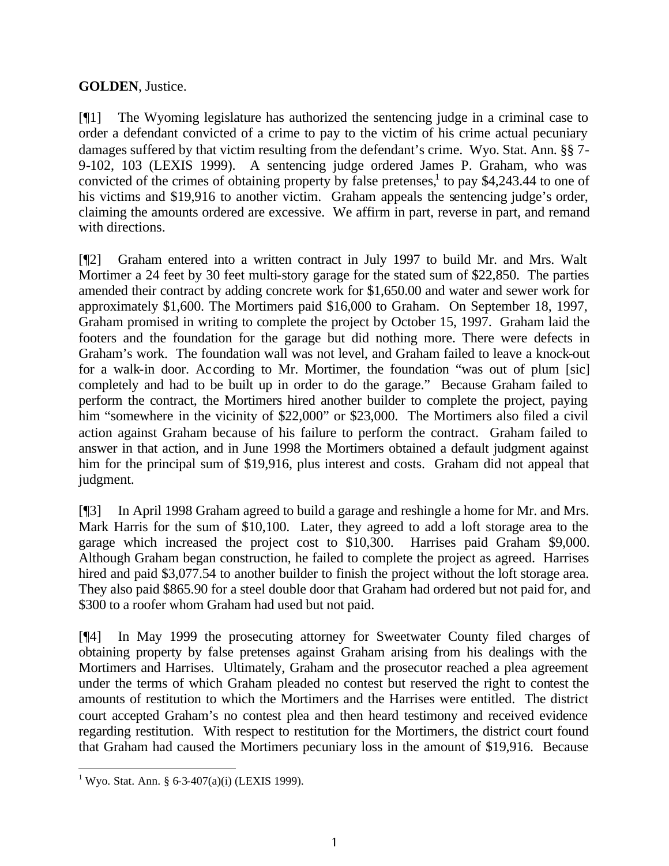## **GOLDEN**, Justice.

[¶1] The Wyoming legislature has authorized the sentencing judge in a criminal case to order a defendant convicted of a crime to pay to the victim of his crime actual pecuniary damages suffered by that victim resulting from the defendant's crime. Wyo. Stat. Ann. §§ 7- 9-102, 103 (LEXIS 1999). A sentencing judge ordered James P. Graham, who was convicted of the crimes of obtaining property by false pretenses,<sup>1</sup> to pay \$4,243.44 to one of his victims and \$19,916 to another victim. Graham appeals the sentencing judge's order, claiming the amounts ordered are excessive. We affirm in part, reverse in part, and remand with directions.

[¶2] Graham entered into a written contract in July 1997 to build Mr. and Mrs. Walt Mortimer a 24 feet by 30 feet multi-story garage for the stated sum of \$22,850. The parties amended their contract by adding concrete work for \$1,650.00 and water and sewer work for approximately \$1,600. The Mortimers paid \$16,000 to Graham. On September 18, 1997, Graham promised in writing to complete the project by October 15, 1997. Graham laid the footers and the foundation for the garage but did nothing more. There were defects in Graham's work. The foundation wall was not level, and Graham failed to leave a knock-out for a walk-in door. According to Mr. Mortimer, the foundation "was out of plum [sic] completely and had to be built up in order to do the garage." Because Graham failed to perform the contract, the Mortimers hired another builder to complete the project, paying him "somewhere in the vicinity of \$22,000" or \$23,000. The Mortimers also filed a civil action against Graham because of his failure to perform the contract. Graham failed to answer in that action, and in June 1998 the Mortimers obtained a default judgment against him for the principal sum of \$19,916, plus interest and costs. Graham did not appeal that judgment.

[¶3] In April 1998 Graham agreed to build a garage and reshingle a home for Mr. and Mrs. Mark Harris for the sum of \$10,100. Later, they agreed to add a loft storage area to the garage which increased the project cost to \$10,300. Harrises paid Graham \$9,000. Although Graham began construction, he failed to complete the project as agreed. Harrises hired and paid \$3,077.54 to another builder to finish the project without the loft storage area. They also paid \$865.90 for a steel double door that Graham had ordered but not paid for, and \$300 to a roofer whom Graham had used but not paid.

[¶4] In May 1999 the prosecuting attorney for Sweetwater County filed charges of obtaining property by false pretenses against Graham arising from his dealings with the Mortimers and Harrises. Ultimately, Graham and the prosecutor reached a plea agreement under the terms of which Graham pleaded no contest but reserved the right to contest the amounts of restitution to which the Mortimers and the Harrises were entitled. The district court accepted Graham's no contest plea and then heard testimony and received evidence regarding restitution. With respect to restitution for the Mortimers, the district court found that Graham had caused the Mortimers pecuniary loss in the amount of \$19,916. Because

l <sup>1</sup> Wyo. Stat. Ann. § 6-3-407(a)(i) (LEXIS 1999).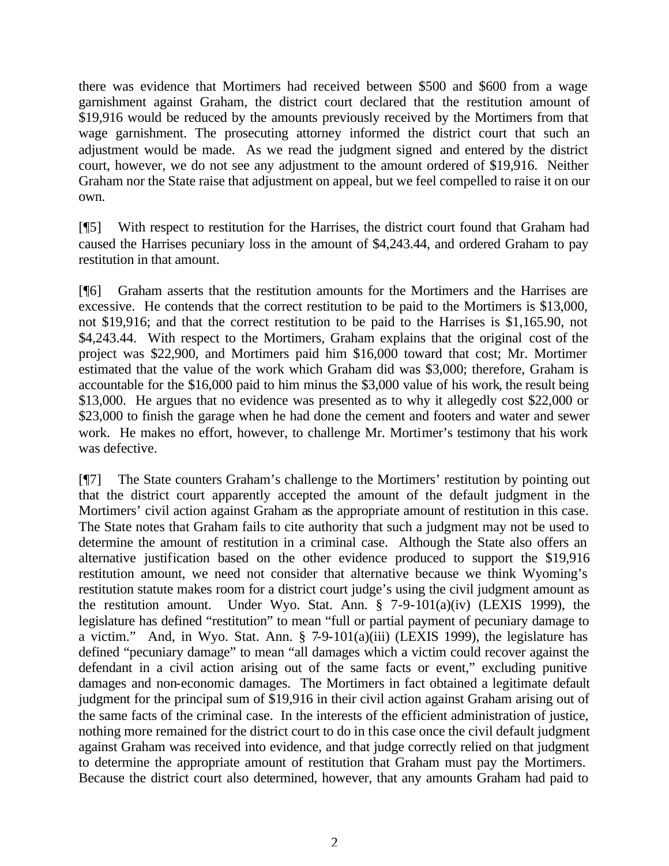there was evidence that Mortimers had received between \$500 and \$600 from a wage garnishment against Graham, the district court declared that the restitution amount of \$19,916 would be reduced by the amounts previously received by the Mortimers from that wage garnishment. The prosecuting attorney informed the district court that such an adjustment would be made. As we read the judgment signed and entered by the district court, however, we do not see any adjustment to the amount ordered of \$19,916. Neither Graham nor the State raise that adjustment on appeal, but we feel compelled to raise it on our own.

[¶5] With respect to restitution for the Harrises, the district court found that Graham had caused the Harrises pecuniary loss in the amount of \$4,243.44, and ordered Graham to pay restitution in that amount.

[¶6] Graham asserts that the restitution amounts for the Mortimers and the Harrises are excessive. He contends that the correct restitution to be paid to the Mortimers is \$13,000, not \$19,916; and that the correct restitution to be paid to the Harrises is \$1,165.90, not \$4,243.44. With respect to the Mortimers, Graham explains that the original cost of the project was \$22,900, and Mortimers paid him \$16,000 toward that cost; Mr. Mortimer estimated that the value of the work which Graham did was \$3,000; therefore, Graham is accountable for the \$16,000 paid to him minus the \$3,000 value of his work, the result being \$13,000. He argues that no evidence was presented as to why it allegedly cost \$22,000 or \$23,000 to finish the garage when he had done the cement and footers and water and sewer work. He makes no effort, however, to challenge Mr. Mortimer's testimony that his work was defective.

[¶7] The State counters Graham's challenge to the Mortimers' restitution by pointing out that the district court apparently accepted the amount of the default judgment in the Mortimers' civil action against Graham as the appropriate amount of restitution in this case. The State notes that Graham fails to cite authority that such a judgment may not be used to determine the amount of restitution in a criminal case. Although the State also offers an alternative justification based on the other evidence produced to support the \$19,916 restitution amount, we need not consider that alternative because we think Wyoming's restitution statute makes room for a district court judge's using the civil judgment amount as the restitution amount. Under Wyo. Stat. Ann. § 7-9-101(a)(iv) (LEXIS 1999), the legislature has defined "restitution" to mean "full or partial payment of pecuniary damage to a victim." And, in Wyo. Stat. Ann.  $\S$  7-9-101(a)(iii) (LEXIS 1999), the legislature has defined "pecuniary damage" to mean "all damages which a victim could recover against the defendant in a civil action arising out of the same facts or event," excluding punitive damages and non-economic damages. The Mortimers in fact obtained a legitimate default judgment for the principal sum of \$19,916 in their civil action against Graham arising out of the same facts of the criminal case. In the interests of the efficient administration of justice, nothing more remained for the district court to do in this case once the civil default judgment against Graham was received into evidence, and that judge correctly relied on that judgment to determine the appropriate amount of restitution that Graham must pay the Mortimers. Because the district court also determined, however, that any amounts Graham had paid to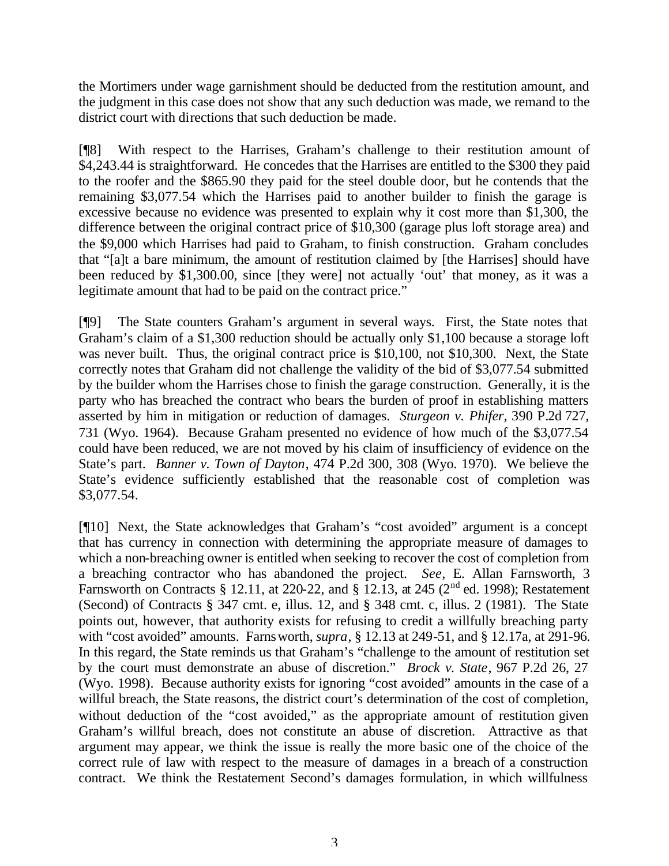the Mortimers under wage garnishment should be deducted from the restitution amount, and the judgment in this case does not show that any such deduction was made, we remand to the district court with directions that such deduction be made.

[¶8] With respect to the Harrises, Graham's challenge to their restitution amount of \$4,243.44 is straightforward. He concedes that the Harrises are entitled to the \$300 they paid to the roofer and the \$865.90 they paid for the steel double door, but he contends that the remaining \$3,077.54 which the Harrises paid to another builder to finish the garage is excessive because no evidence was presented to explain why it cost more than \$1,300, the difference between the original contract price of \$10,300 (garage plus loft storage area) and the \$9,000 which Harrises had paid to Graham, to finish construction. Graham concludes that "[a]t a bare minimum, the amount of restitution claimed by [the Harrises] should have been reduced by \$1,300.00, since [they were] not actually 'out' that money, as it was a legitimate amount that had to be paid on the contract price."

[¶9] The State counters Graham's argument in several ways. First, the State notes that Graham's claim of a \$1,300 reduction should be actually only \$1,100 because a storage loft was never built. Thus, the original contract price is \$10,100, not \$10,300. Next, the State correctly notes that Graham did not challenge the validity of the bid of \$3,077.54 submitted by the builder whom the Harrises chose to finish the garage construction. Generally, it is the party who has breached the contract who bears the burden of proof in establishing matters asserted by him in mitigation or reduction of damages. *Sturgeon v. Phifer*, 390 P.2d 727, 731 (Wyo. 1964). Because Graham presented no evidence of how much of the \$3,077.54 could have been reduced, we are not moved by his claim of insufficiency of evidence on the State's part. *Banner v. Town of Dayton*, 474 P.2d 300, 308 (Wyo. 1970). We believe the State's evidence sufficiently established that the reasonable cost of completion was \$3,077.54.

[¶10] Next, the State acknowledges that Graham's "cost avoided" argument is a concept that has currency in connection with determining the appropriate measure of damages to which a non-breaching owner is entitled when seeking to recover the cost of completion from a breaching contractor who has abandoned the project. *See,* E. Allan Farnsworth, 3 Farnsworth on Contracts § 12.11, at 220-22, and § 12.13, at 245 (2<sup>nd</sup> ed. 1998); Restatement (Second) of Contracts § 347 cmt. e, illus. 12, and § 348 cmt. c, illus. 2 (1981). The State points out, however, that authority exists for refusing to credit a willfully breaching party with "cost avoided" amounts. Farnsworth, *supra*, § 12.13 at 249-51, and § 12.17a, at 291-96. In this regard, the State reminds us that Graham's "challenge to the amount of restitution set by the court must demonstrate an abuse of discretion." *Brock v. State*, 967 P.2d 26, 27 (Wyo. 1998). Because authority exists for ignoring "cost avoided" amounts in the case of a willful breach, the State reasons, the district court's determination of the cost of completion, without deduction of the "cost avoided," as the appropriate amount of restitution given Graham's willful breach, does not constitute an abuse of discretion. Attractive as that argument may appear, we think the issue is really the more basic one of the choice of the correct rule of law with respect to the measure of damages in a breach of a construction contract. We think the Restatement Second's damages formulation, in which willfulness